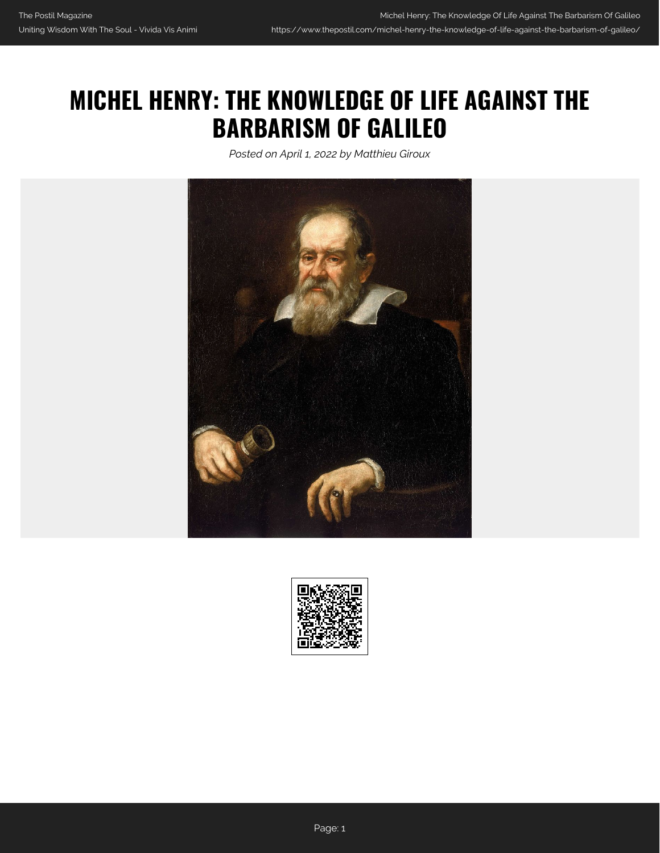## **MICHEL HENRY: THE KNOWLEDGE OF LIFE AGAINST THE BARBARISM OF GALILEO**

*Posted on April 1, 2022 by Matthieu Giroux*



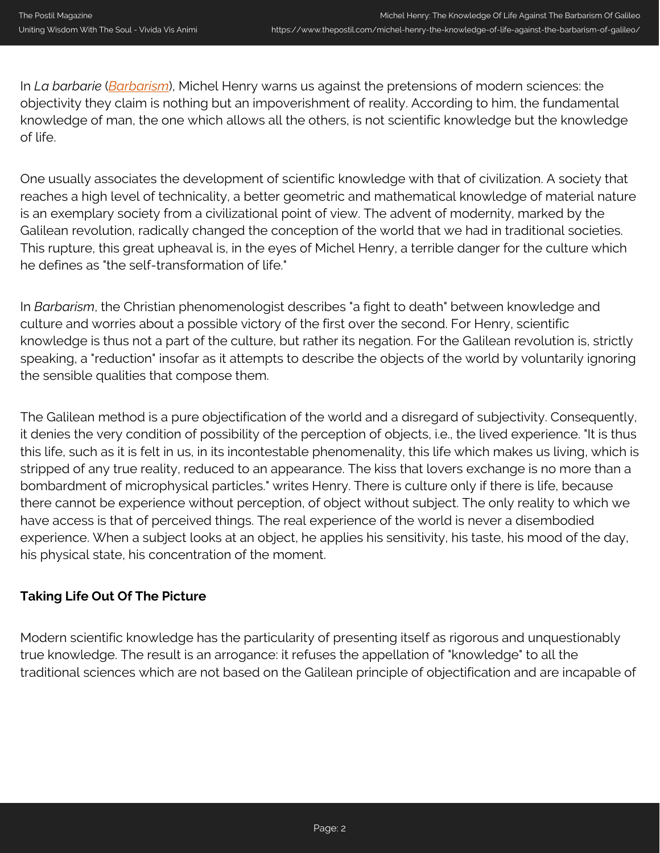In *La barbarie* (*[Barbarism](https://amzn.to/3JYQGXU)*), Michel Henry warns us against the pretensions of modern sciences: the objectivity they claim is nothing but an impoverishment of reality. According to him, the fundamental knowledge of man, the one which allows all the others, is not scientific knowledge but the knowledge of life.

One usually associates the development of scientific knowledge with that of civilization. A society that reaches a high level of technicality, a better geometric and mathematical knowledge of material nature is an exemplary society from a civilizational point of view. The advent of modernity, marked by the Galilean revolution, radically changed the conception of the world that we had in traditional societies. This rupture, this great upheaval is, in the eyes of Michel Henry, a terrible danger for the culture which he defines as "the self-transformation of life."

In *Barbarism*, the Christian phenomenologist describes "a fight to death" between knowledge and culture and worries about a possible victory of the first over the second. For Henry, scientific knowledge is thus not a part of the culture, but rather its negation. For the Galilean revolution is, strictly speaking, a "reduction" insofar as it attempts to describe the objects of the world by voluntarily ignoring the sensible qualities that compose them.

The Galilean method is a pure objectification of the world and a disregard of subjectivity. Consequently, it denies the very condition of possibility of the perception of objects, i.e., the lived experience. "It is thus this life, such as it is felt in us, in its incontestable phenomenality, this life which makes us living, which is stripped of any true reality, reduced to an appearance. The kiss that lovers exchange is no more than a bombardment of microphysical particles." writes Henry. There is culture only if there is life, because there cannot be experience without perception, of object without subject. The only reality to which we have access is that of perceived things. The real experience of the world is never a disembodied experience. When a subject looks at an object, he applies his sensitivity, his taste, his mood of the day, his physical state, his concentration of the moment.

## **Taking Life Out Of The Picture**

Modern scientific knowledge has the particularity of presenting itself as rigorous and unquestionably true knowledge. The result is an arrogance: it refuses the appellation of "knowledge" to all the traditional sciences which are not based on the Galilean principle of objectification and are incapable of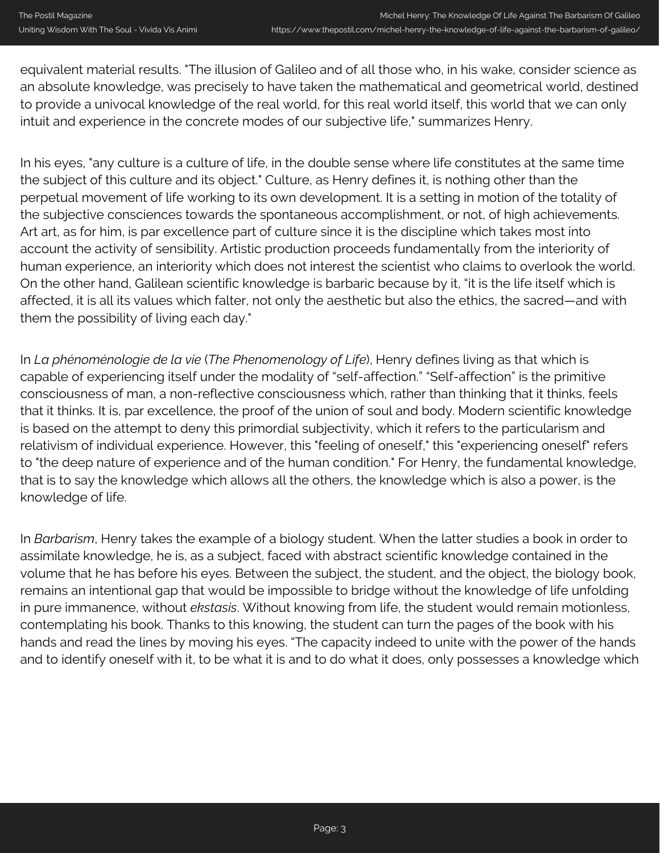equivalent material results. "The illusion of Galileo and of all those who, in his wake, consider science as an absolute knowledge, was precisely to have taken the mathematical and geometrical world, destined to provide a univocal knowledge of the real world, for this real world itself, this world that we can only intuit and experience in the concrete modes of our subjective life," summarizes Henry.

In his eyes, "any culture is a culture of life, in the double sense where life constitutes at the same time the subject of this culture and its object." Culture, as Henry defines it, is nothing other than the perpetual movement of life working to its own development. It is a setting in motion of the totality of the subjective consciences towards the spontaneous accomplishment, or not, of high achievements. Art art, as for him, is par excellence part of culture since it is the discipline which takes most into account the activity of sensibility. Artistic production proceeds fundamentally from the interiority of human experience, an interiority which does not interest the scientist who claims to overlook the world. On the other hand, Galilean scientific knowledge is barbaric because by it, "it is the life itself which is affected, it is all its values which falter, not only the aesthetic but also the ethics, the sacred—and with them the possibility of living each day."

In *La phénoménologie de la vie* (*The Phenomenology of Life*), Henry defines living as that which is capable of experiencing itself under the modality of "self-affection." "Self-affection" is the primitive consciousness of man, a non-reflective consciousness which, rather than thinking that it thinks, feels that it thinks. It is, par excellence, the proof of the union of soul and body. Modern scientific knowledge is based on the attempt to deny this primordial subjectivity, which it refers to the particularism and relativism of individual experience. However, this "feeling of oneself," this "experiencing oneself" refers to "the deep nature of experience and of the human condition." For Henry, the fundamental knowledge, that is to say the knowledge which allows all the others, the knowledge which is also a power, is the knowledge of life.

In *Barbarism*, Henry takes the example of a biology student. When the latter studies a book in order to assimilate knowledge, he is, as a subject, faced with abstract scientific knowledge contained in the volume that he has before his eyes. Between the subject, the student, and the object, the biology book, remains an intentional gap that would be impossible to bridge without the knowledge of life unfolding in pure immanence, without *ekstasis*. Without knowing from life, the student would remain motionless, contemplating his book. Thanks to this knowing, the student can turn the pages of the book with his hands and read the lines by moving his eyes. "The capacity indeed to unite with the power of the hands and to identify oneself with it, to be what it is and to do what it does, only possesses a knowledge which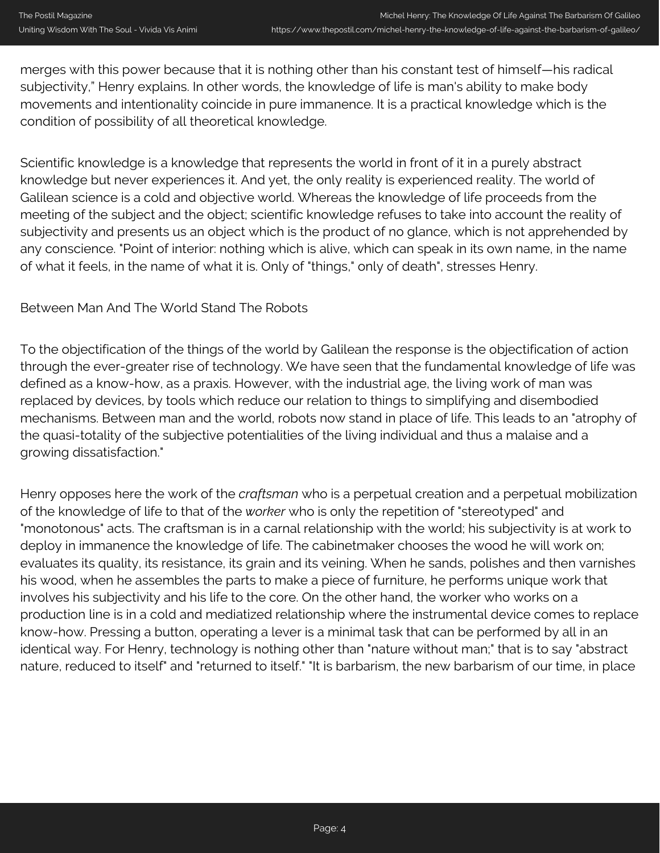merges with this power because that it is nothing other than his constant test of himself—his radical subjectivity," Henry explains. In other words, the knowledge of life is man's ability to make body movements and intentionality coincide in pure immanence. It is a practical knowledge which is the condition of possibility of all theoretical knowledge.

Scientific knowledge is a knowledge that represents the world in front of it in a purely abstract knowledge but never experiences it. And yet, the only reality is experienced reality. The world of Galilean science is a cold and objective world. Whereas the knowledge of life proceeds from the meeting of the subject and the object; scientific knowledge refuses to take into account the reality of subjectivity and presents us an object which is the product of no glance, which is not apprehended by any conscience. "Point of interior: nothing which is alive, which can speak in its own name, in the name of what it feels, in the name of what it is. Only of "things," only of death", stresses Henry.

## Between Man And The World Stand The Robots

To the objectification of the things of the world by Galilean the response is the objectification of action through the ever-greater rise of technology. We have seen that the fundamental knowledge of life was defined as a know-how, as a praxis. However, with the industrial age, the living work of man was replaced by devices, by tools which reduce our relation to things to simplifying and disembodied mechanisms. Between man and the world, robots now stand in place of life. This leads to an "atrophy of the quasi-totality of the subjective potentialities of the living individual and thus a malaise and a growing dissatisfaction."

Henry opposes here the work of the *craftsman* who is a perpetual creation and a perpetual mobilization of the knowledge of life to that of the *worker* who is only the repetition of "stereotyped" and "monotonous" acts. The craftsman is in a carnal relationship with the world; his subjectivity is at work to deploy in immanence the knowledge of life. The cabinetmaker chooses the wood he will work on; evaluates its quality, its resistance, its grain and its veining. When he sands, polishes and then varnishes his wood, when he assembles the parts to make a piece of furniture, he performs unique work that involves his subjectivity and his life to the core. On the other hand, the worker who works on a production line is in a cold and mediatized relationship where the instrumental device comes to replace know-how. Pressing a button, operating a lever is a minimal task that can be performed by all in an identical way. For Henry, technology is nothing other than "nature without man;" that is to say "abstract nature, reduced to itself" and "returned to itself." "It is barbarism, the new barbarism of our time, in place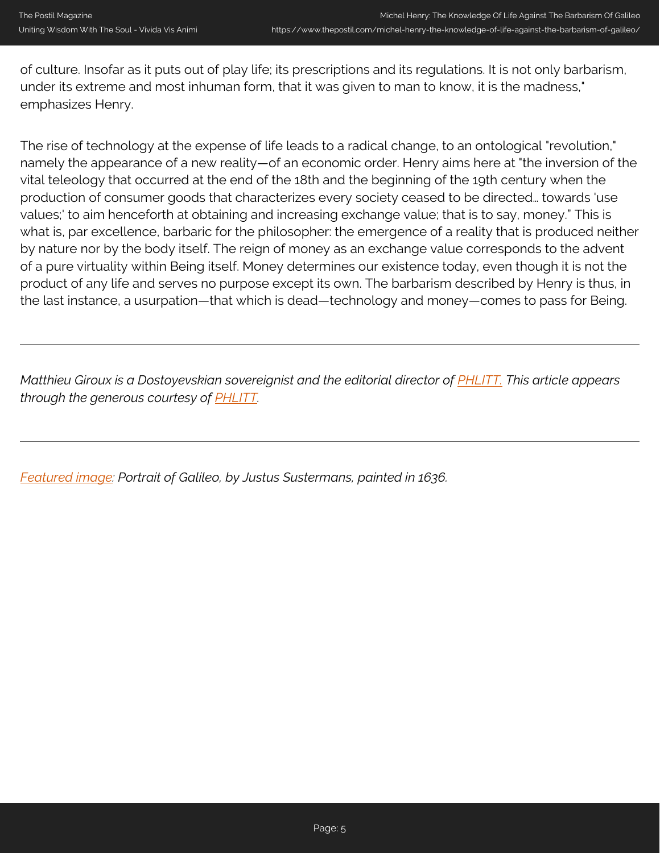of culture. Insofar as it puts out of play life; its prescriptions and its regulations. It is not only barbarism, under its extreme and most inhuman form, that it was given to man to know, it is the madness," emphasizes Henry.

The rise of technology at the expense of life leads to a radical change, to an ontological "revolution," namely the appearance of a new reality—of an economic order. Henry aims here at "the inversion of the vital teleology that occurred at the end of the 18th and the beginning of the 19th century when the production of consumer goods that characterizes every society ceased to be directed… towards 'use values;' to aim henceforth at obtaining and increasing exchange value; that is to say, money." This is what is, par excellence, barbaric for the philosopher: the emergence of a reality that is produced neither by nature nor by the body itself. The reign of money as an exchange value corresponds to the advent of a pure virtuality within Being itself. Money determines our existence today, even though it is not the product of any life and serves no purpose except its own. The barbarism described by Henry is thus, in the last instance, a usurpation—that which is dead—technology and money—comes to pass for Being.

*Matthieu Giroux is a Dostoyevskian sovereignist and the editorial director of PHLITT. This article appears through the generous courtesy of [PHLITT.](https://philitt.fr/2018/01/16/michel-henry-le-savoir-de-la-vie-contre-la-barbarie-de-galilee/)*

*[Featured image](https://en.wikipedia.org/wiki/File:Justus_Sustermans_-_Portrait_of_Galileo_Galilei,_1636.jpg): Portrait of Galileo, by Justus Sustermans, painted in 1636.*